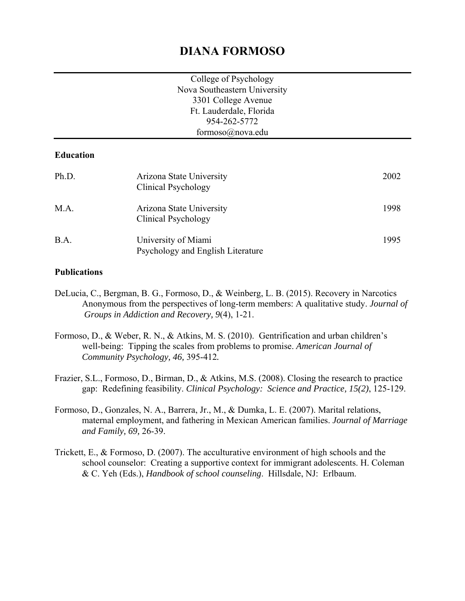# **DIANA FORMOSO**

| College of Psychology        |
|------------------------------|
| Nova Southeastern University |
| 3301 College Avenue          |
| Ft. Lauderdale, Florida      |
| 954-262-5772                 |
| formoso@nova.edu             |

#### **Education**

| Ph.D. | Arizona State University<br>Clinical Psychology          | 2002 |
|-------|----------------------------------------------------------|------|
| M.A.  | Arizona State University<br>Clinical Psychology          | 1998 |
| B.A.  | University of Miami<br>Psychology and English Literature | 1995 |

#### **Publications**

- DeLucia, C., Bergman, B. G., Formoso, D., & Weinberg, L. B. (2015). Recovery in Narcotics Anonymous from the perspectives of long-term members: A qualitative study. *Journal of Groups in Addiction and Recovery, 9*(4), 1-21.
- Formoso, D., & Weber, R. N., & Atkins, M. S. (2010). Gentrification and urban children's well-being: Tipping the scales from problems to promise. *American Journal of Community Psychology, 46,* 395-412*.*
- Frazier, S.L., Formoso, D., Birman, D., & Atkins, M.S. (2008). Closing the research to practice gap: Redefining feasibility. *Clinical Psychology: Science and Practice, 15(2)*, 125-129.
- Formoso, D., Gonzales, N. A., Barrera, Jr., M., & Dumka, L. E. (2007). Marital relations, maternal employment, and fathering in Mexican American families. *Journal of Marriage and Family, 69,* 26-39.
- Trickett, E., & Formoso, D. (2007). The acculturative environment of high schools and the school counselor: Creating a supportive context for immigrant adolescents. H. Coleman & C. Yeh (Eds.), *Handbook of school counseling*. Hillsdale, NJ: Erlbaum.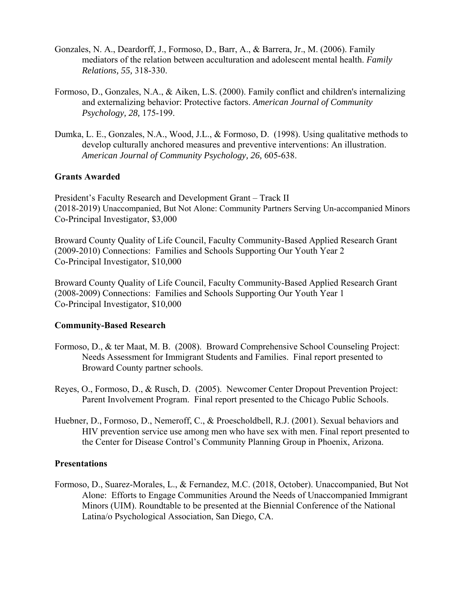- Gonzales, N. A., Deardorff, J., Formoso, D., Barr, A., & Barrera, Jr., M. (2006). Family mediators of the relation between acculturation and adolescent mental health. *Family Relations, 55,* 318-330.
- Formoso, D., Gonzales, N.A., & Aiken, L.S. (2000). Family conflict and children's internalizing and externalizing behavior: Protective factors. *American Journal of Community Psychology, 28,* 175-199.
- Dumka, L. E., Gonzales, N.A., Wood, J.L., & Formoso, D. (1998). Using qualitative methods to develop culturally anchored measures and preventive interventions: An illustration. *American Journal of Community Psychology, 26,* 605-638.

#### **Grants Awarded**

President's Faculty Research and Development Grant – Track II (2018-2019) Unaccompanied, But Not Alone: Community Partners Serving Un-accompanied Minors Co-Principal Investigator, \$3,000

Broward County Quality of Life Council, Faculty Community-Based Applied Research Grant (2009-2010) Connections: Families and Schools Supporting Our Youth Year 2 Co-Principal Investigator, \$10,000

Broward County Quality of Life Council, Faculty Community-Based Applied Research Grant (2008-2009) Connections: Families and Schools Supporting Our Youth Year 1 Co-Principal Investigator, \$10,000

#### **Community-Based Research**

- Formoso, D., & ter Maat, M. B. (2008). Broward Comprehensive School Counseling Project: Needs Assessment for Immigrant Students and Families. Final report presented to Broward County partner schools.
- Reyes, O., Formoso, D., & Rusch, D. (2005). Newcomer Center Dropout Prevention Project: Parent Involvement Program. Final report presented to the Chicago Public Schools.
- Huebner, D., Formoso, D., Nemeroff, C., & Proescholdbell, R.J. (2001). Sexual behaviors and HIV prevention service use among men who have sex with men. Final report presented to the Center for Disease Control's Community Planning Group in Phoenix, Arizona.

#### **Presentations**

Formoso, D., Suarez-Morales, L., & Fernandez, M.C. (2018, October). Unaccompanied, But Not Alone: Efforts to Engage Communities Around the Needs of Unaccompanied Immigrant Minors (UIM). Roundtable to be presented at the Biennial Conference of the National Latina/o Psychological Association, San Diego, CA.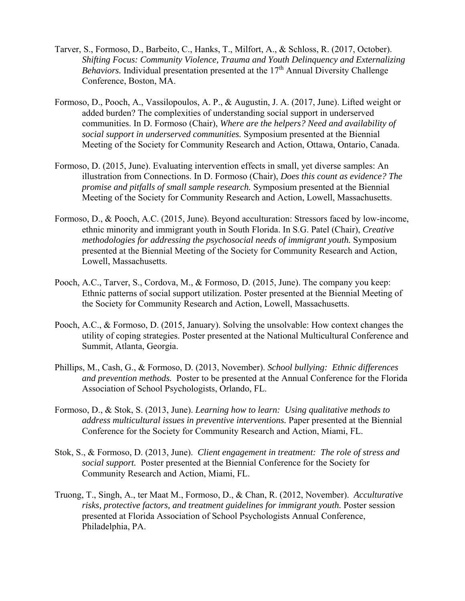- Tarver, S., Formoso, D., Barbeito, C., Hanks, T., Milfort, A., & Schloss, R. (2017, October). *Shifting Focus: Community Violence, Trauma and Youth Delinquency and Externalizing Behaviors.* Individual presentation presented at the 17<sup>th</sup> Annual Diversity Challenge Conference, Boston, MA.
- Formoso, D., Pooch, A., Vassilopoulos, A. P., & Augustin, J. A. (2017, June). Lifted weight or added burden? The complexities of understanding social support in underserved communities. In D. Formoso (Chair), *Where are the helpers? Need and availability of social support in underserved communities.* Symposium presented at the Biennial Meeting of the Society for Community Research and Action, Ottawa, Ontario, Canada.
- Formoso, D. (2015, June). Evaluating intervention effects in small, yet diverse samples: An illustration from Connections. In D. Formoso (Chair), *Does this count as evidence? The promise and pitfalls of small sample research.* Symposium presented at the Biennial Meeting of the Society for Community Research and Action, Lowell, Massachusetts.
- Formoso, D., & Pooch, A.C. (2015, June). Beyond acculturation: Stressors faced by low-income, ethnic minority and immigrant youth in South Florida. In S.G. Patel (Chair), *Creative methodologies for addressing the psychosocial needs of immigrant youth.* Symposium presented at the Biennial Meeting of the Society for Community Research and Action, Lowell, Massachusetts.
- Pooch, A.C., Tarver, S., Cordova, M., & Formoso, D. (2015, June). The company you keep: Ethnic patterns of social support utilization. Poster presented at the Biennial Meeting of the Society for Community Research and Action, Lowell, Massachusetts.
- Pooch, A.C., & Formoso, D. (2015, January). Solving the unsolvable: How context changes the utility of coping strategies. Poster presented at the National Multicultural Conference and Summit, Atlanta, Georgia.
- Phillips, M., Cash, G., & Formoso, D. (2013, November). *School bullying: Ethnic differences and prevention methods.* Poster to be presented at the Annual Conference for the Florida Association of School Psychologists, Orlando, FL.
- Formoso, D., & Stok, S. (2013, June). *Learning how to learn: Using qualitative methods to address multicultural issues in preventive interventions.* Paper presented at the Biennial Conference for the Society for Community Research and Action, Miami, FL.
- Stok, S., & Formoso, D. (2013, June). *Client engagement in treatment: The role of stress and social support.* Poster presented at the Biennial Conference for the Society for Community Research and Action, Miami, FL.
- Truong, T., Singh, A., ter Maat M., Formoso, D., & Chan, R. (2012, November). *Acculturative risks, protective factors, and treatment guidelines for immigrant youth.* Poster session presented at Florida Association of School Psychologists Annual Conference, Philadelphia, PA.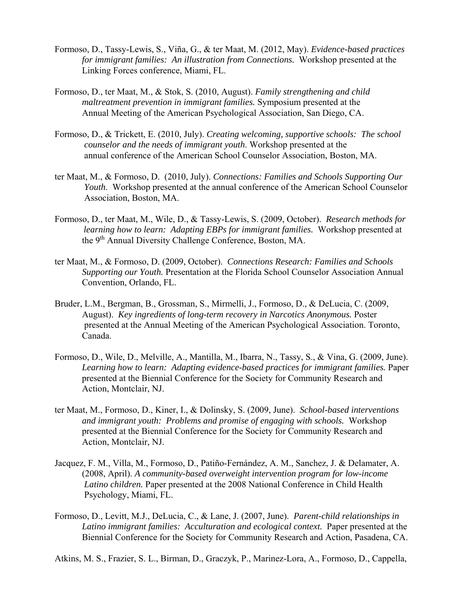- Formoso, D., Tassy-Lewis, S., Viña, G., & ter Maat, M. (2012, May). *Evidence-based practices for immigrant families: An illustration from Connections.* Workshop presented at the Linking Forces conference, Miami, FL.
- Formoso, D., ter Maat, M., & Stok, S. (2010, August). *Family strengthening and child maltreatment prevention in immigrant families.* Symposium presented at the Annual Meeting of the American Psychological Association, San Diego, CA.
- Formoso, D., & Trickett, E. (2010, July). *Creating welcoming, supportive schools: The school counselor and the needs of immigrant youth*. Workshop presented at the annual conference of the American School Counselor Association, Boston, MA.
- ter Maat, M., & Formoso, D. (2010, July). *Connections: Families and Schools Supporting Our Youth*. Workshop presented at the annual conference of the American School Counselor Association, Boston, MA.
- Formoso, D., ter Maat, M., Wile, D., & Tassy-Lewis, S. (2009, October). *Research methods for learning how to learn: Adapting EBPs for immigrant families.* Workshop presented at the 9th Annual Diversity Challenge Conference, Boston, MA.
- ter Maat, M., & Formoso, D. (2009, October). *Connections Research: Families and Schools Supporting our Youth.* Presentation at the Florida School Counselor Association Annual Convention, Orlando, FL.
- Bruder, L.M., Bergman, B., Grossman, S., Mirmelli, J., Formoso, D., & DeLucia, C. (2009, August). *Key ingredients of long-term recovery in Narcotics Anonymous.* Poster presented at the Annual Meeting of the American Psychological Association. Toronto, Canada.
- Formoso, D., Wile, D., Melville, A., Mantilla, M., Ibarra, N., Tassy, S., & Vina, G. (2009, June). *Learning how to learn: Adapting evidence-based practices for immigrant families.* Paper presented at the Biennial Conference for the Society for Community Research and Action, Montclair, NJ.
- ter Maat, M., Formoso, D., Kiner, I., & Dolinsky, S. (2009, June). *School-based interventions and immigrant youth: Problems and promise of engaging with schools.* Workshop presented at the Biennial Conference for the Society for Community Research and Action, Montclair, NJ.
- Jacquez, F. M., Villa, M., Formoso, D., Patiño-Fernández, A. M., Sanchez, J. & Delamater, A. (2008, April). *A community-based overweight intervention program for low-income Latino children.* Paper presented at the 2008 National Conference in Child Health Psychology, Miami, FL.
- Formoso, D., Levitt, M.J., DeLucia, C., & Lane, J. (2007, June). *Parent-child relationships in Latino immigrant families: Acculturation and ecological context.* Paper presented at the Biennial Conference for the Society for Community Research and Action, Pasadena, CA.
- Atkins, M. S., Frazier, S. L., Birman, D., Graczyk, P., Marinez-Lora, A., Formoso, D., Cappella,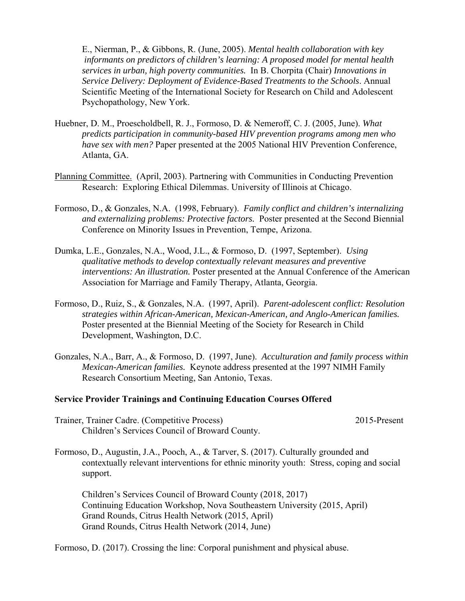E., Nierman, P., & Gibbons, R. (June, 2005). *Mental health collaboration with key informants on predictors of children's learning: A proposed model for mental health services in urban, high poverty communities.* In B. Chorpita (Chair) *Innovations in Service Delivery: Deployment of Evidence-Based Treatments to the Schools*. Annual Scientific Meeting of the International Society for Research on Child and Adolescent Psychopathology, New York.

- Huebner, D. M., Proescholdbell, R. J., Formoso, D. & Nemeroff, C. J. (2005, June). *What predicts participation in community-based HIV prevention programs among men who have sex with men?* Paper presented at the 2005 National HIV Prevention Conference, Atlanta, GA.
- Planning Committee. (April, 2003). Partnering with Communities in Conducting Prevention Research: Exploring Ethical Dilemmas. University of Illinois at Chicago.
- Formoso, D., & Gonzales, N.A. (1998, February). *Family conflict and children's internalizing and externalizing problems: Protective factors.* Poster presented at the Second Biennial Conference on Minority Issues in Prevention, Tempe, Arizona.
- Dumka, L.E., Gonzales, N.A., Wood, J.L., & Formoso, D. (1997, September). *Using qualitative methods to develop contextually relevant measures and preventive interventions: An illustration.* Poster presented at the Annual Conference of the American Association for Marriage and Family Therapy, Atlanta, Georgia.
- Formoso, D., Ruiz, S., & Gonzales, N.A. (1997, April). *Parent-adolescent conflict: Resolution strategies within African-American, Mexican-American, and Anglo-American families.*  Poster presented at the Biennial Meeting of the Society for Research in Child Development, Washington, D.C.
- Gonzales, N.A., Barr, A., & Formoso, D. (1997, June). *Acculturation and family process within Mexican-American families.* Keynote address presented at the 1997 NIMH Family Research Consortium Meeting, San Antonio, Texas.

#### **Service Provider Trainings and Continuing Education Courses Offered**

Trainer, Trainer Cadre. (Competitive Process) 2015-Present Children's Services Council of Broward County.

Formoso, D., Augustin, J.A., Pooch, A., & Tarver, S. (2017). Culturally grounded and contextually relevant interventions for ethnic minority youth: Stress, coping and social support.

 Children's Services Council of Broward County (2018, 2017) Continuing Education Workshop, Nova Southeastern University (2015, April) Grand Rounds, Citrus Health Network (2015, April) Grand Rounds, Citrus Health Network (2014, June)

Formoso, D. (2017). Crossing the line: Corporal punishment and physical abuse.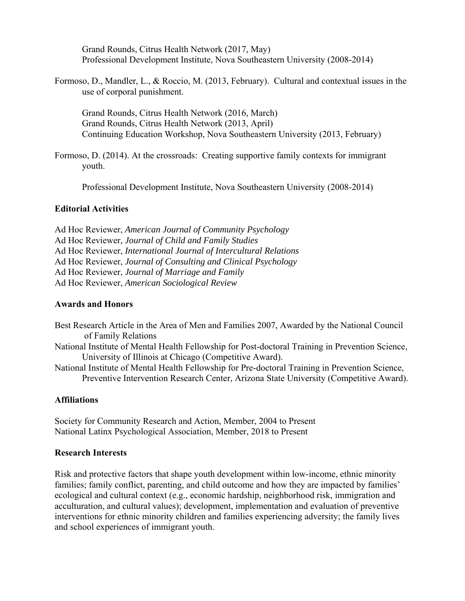Grand Rounds, Citrus Health Network (2017, May) Professional Development Institute, Nova Southeastern University (2008-2014)

Formoso, D., Mandler, L., & Roccio, M. (2013, February). Cultural and contextual issues in the use of corporal punishment.

 Grand Rounds, Citrus Health Network (2016, March) Grand Rounds, Citrus Health Network (2013, April) Continuing Education Workshop, Nova Southeastern University (2013, February)

Formoso, D. (2014). At the crossroads: Creating supportive family contexts for immigrant youth.

Professional Development Institute, Nova Southeastern University (2008-2014)

#### **Editorial Activities**

Ad Hoc Reviewer, *American Journal of Community Psychology*  Ad Hoc Reviewer, *Journal of Child and Family Studies*  Ad Hoc Reviewer, *International Journal of Intercultural Relations* Ad Hoc Reviewer, *Journal of Consulting and Clinical Psychology* Ad Hoc Reviewer, *Journal of Marriage and Family*  Ad Hoc Reviewer, *American Sociological Review*

#### **Awards and Honors**

- Best Research Article in the Area of Men and Families 2007, Awarded by the National Council of Family Relations
- National Institute of Mental Health Fellowship for Post-doctoral Training in Prevention Science, University of Illinois at Chicago (Competitive Award).
- National Institute of Mental Health Fellowship for Pre-doctoral Training in Prevention Science, Preventive Intervention Research Center, Arizona State University (Competitive Award).

#### **Affiliations**

Society for Community Research and Action, Member, 2004 to Present National Latinx Psychological Association, Member, 2018 to Present

#### **Research Interests**

Risk and protective factors that shape youth development within low-income, ethnic minority families; family conflict, parenting, and child outcome and how they are impacted by families' ecological and cultural context (e.g., economic hardship, neighborhood risk, immigration and acculturation, and cultural values); development, implementation and evaluation of preventive interventions for ethnic minority children and families experiencing adversity; the family lives and school experiences of immigrant youth.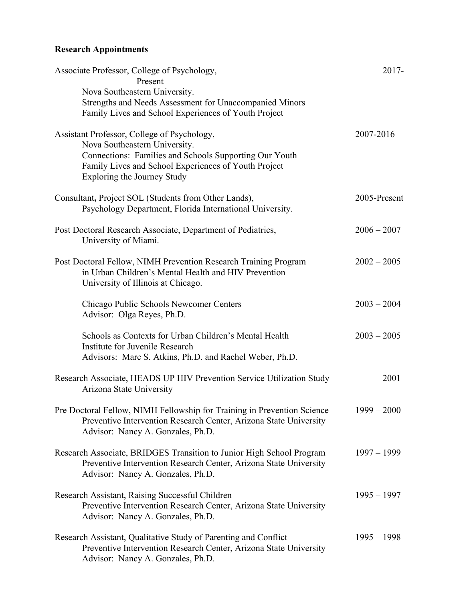## **Research Appointments**

| Associate Professor, College of Psychology,<br>Present                  | 2017-         |
|-------------------------------------------------------------------------|---------------|
| Nova Southeastern University.                                           |               |
| Strengths and Needs Assessment for Unaccompanied Minors                 |               |
| Family Lives and School Experiences of Youth Project                    |               |
| Assistant Professor, College of Psychology,                             | 2007-2016     |
| Nova Southeastern University.                                           |               |
| Connections: Families and Schools Supporting Our Youth                  |               |
| Family Lives and School Experiences of Youth Project                    |               |
| Exploring the Journey Study                                             |               |
| Consultant, Project SOL (Students from Other Lands),                    | 2005-Present  |
| Psychology Department, Florida International University.                |               |
| Post Doctoral Research Associate, Department of Pediatrics,             | $2006 - 2007$ |
| University of Miami.                                                    |               |
| Post Doctoral Fellow, NIMH Prevention Research Training Program         | $2002 - 2005$ |
| in Urban Children's Mental Health and HIV Prevention                    |               |
| University of Illinois at Chicago.                                      |               |
|                                                                         |               |
| Chicago Public Schools Newcomer Centers<br>Advisor: Olga Reyes, Ph.D.   | $2003 - 2004$ |
|                                                                         |               |
| Schools as Contexts for Urban Children's Mental Health                  | $2003 - 2005$ |
| Institute for Juvenile Research                                         |               |
| Advisors: Marc S. Atkins, Ph.D. and Rachel Weber, Ph.D.                 |               |
| Research Associate, HEADS UP HIV Prevention Service Utilization Study   | 2001          |
| Arizona State University                                                |               |
| Pre Doctoral Fellow, NIMH Fellowship for Training in Prevention Science | $1999 - 2000$ |
| Preventive Intervention Research Center, Arizona State University       |               |
| Advisor: Nancy A. Gonzales, Ph.D.                                       |               |
| Research Associate, BRIDGES Transition to Junior High School Program    | $1997 - 1999$ |
| Preventive Intervention Research Center, Arizona State University       |               |
| Advisor: Nancy A. Gonzales, Ph.D.                                       |               |
| Research Assistant, Raising Successful Children                         | $1995 - 1997$ |
| Preventive Intervention Research Center, Arizona State University       |               |
| Advisor: Nancy A. Gonzales, Ph.D.                                       |               |
| Research Assistant, Qualitative Study of Parenting and Conflict         | $1995 - 1998$ |
| Preventive Intervention Research Center, Arizona State University       |               |
| Advisor: Nancy A. Gonzales, Ph.D.                                       |               |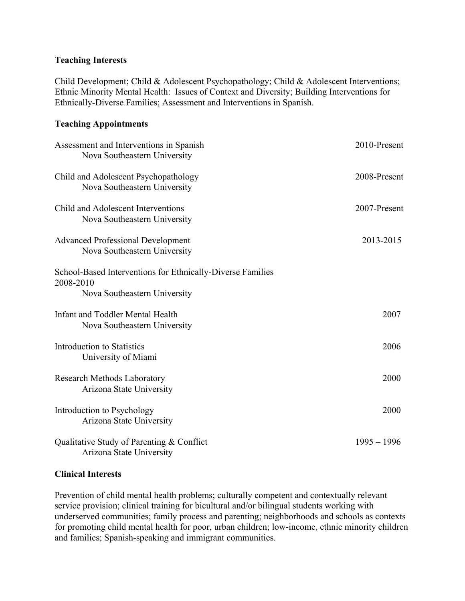#### **Teaching Interests**

Child Development; Child & Adolescent Psychopathology; Child & Adolescent Interventions; Ethnic Minority Mental Health: Issues of Context and Diversity; Building Interventions for Ethnically-Diverse Families; Assessment and Interventions in Spanish.

### **Teaching Appointments**

| Assessment and Interventions in Spanish<br>Nova Southeastern University                                 | 2010-Present  |
|---------------------------------------------------------------------------------------------------------|---------------|
| Child and Adolescent Psychopathology<br>Nova Southeastern University                                    | 2008-Present  |
| Child and Adolescent Interventions<br>Nova Southeastern University                                      | 2007-Present  |
| <b>Advanced Professional Development</b><br>Nova Southeastern University                                | 2013-2015     |
| School-Based Interventions for Ethnically-Diverse Families<br>2008-2010<br>Nova Southeastern University |               |
| Infant and Toddler Mental Health<br>Nova Southeastern University                                        | 2007          |
| <b>Introduction to Statistics</b><br>University of Miami                                                | 2006          |
| <b>Research Methods Laboratory</b><br>Arizona State University                                          | 2000          |
| Introduction to Psychology<br>Arizona State University                                                  | 2000          |
| Qualitative Study of Parenting & Conflict<br>Arizona State University                                   | $1995 - 1996$ |

#### **Clinical Interests**

Prevention of child mental health problems; culturally competent and contextually relevant service provision; clinical training for bicultural and/or bilingual students working with underserved communities; family process and parenting; neighborhoods and schools as contexts for promoting child mental health for poor, urban children; low-income, ethnic minority children and families; Spanish-speaking and immigrant communities.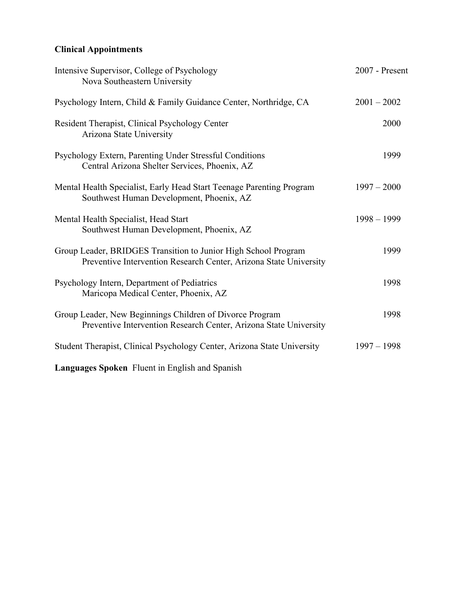## **Clinical Appointments**

| Intensive Supervisor, College of Psychology<br>Nova Southeastern University                                                         | 2007 - Present |  |  |
|-------------------------------------------------------------------------------------------------------------------------------------|----------------|--|--|
| Psychology Intern, Child & Family Guidance Center, Northridge, CA                                                                   | $2001 - 2002$  |  |  |
| Resident Therapist, Clinical Psychology Center<br>Arizona State University                                                          | 2000           |  |  |
| Psychology Extern, Parenting Under Stressful Conditions<br>Central Arizona Shelter Services, Phoenix, AZ                            | 1999           |  |  |
| Mental Health Specialist, Early Head Start Teenage Parenting Program<br>Southwest Human Development, Phoenix, AZ                    | $1997 - 2000$  |  |  |
| Mental Health Specialist, Head Start<br>Southwest Human Development, Phoenix, AZ                                                    | $1998 - 1999$  |  |  |
| Group Leader, BRIDGES Transition to Junior High School Program<br>Preventive Intervention Research Center, Arizona State University | 1999           |  |  |
| Psychology Intern, Department of Pediatrics<br>Maricopa Medical Center, Phoenix, AZ                                                 | 1998           |  |  |
| Group Leader, New Beginnings Children of Divorce Program<br>Preventive Intervention Research Center, Arizona State University       | 1998           |  |  |
| Student Therapist, Clinical Psychology Center, Arizona State University                                                             | $1997 - 1998$  |  |  |
| Languages Spoken Fluent in English and Spanish                                                                                      |                |  |  |